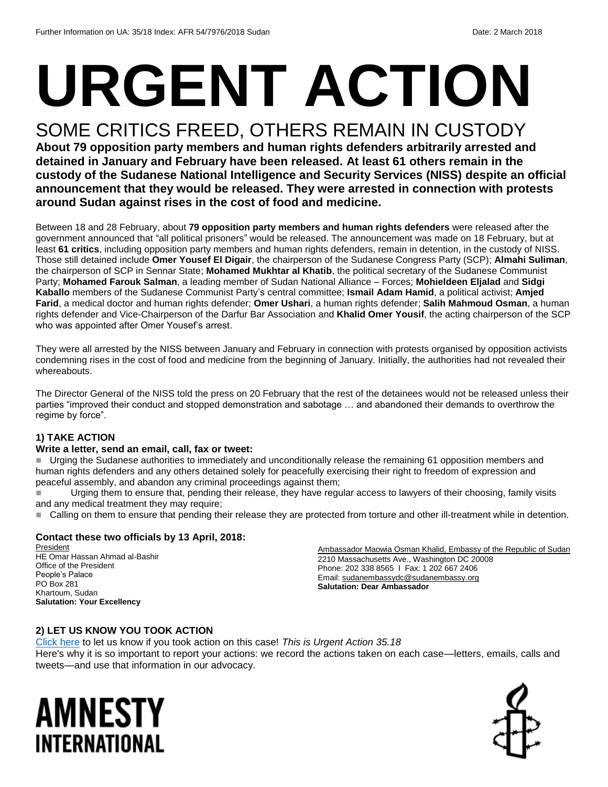# **URGENT ACTION**

## SOME CRITICS FREED, OTHERS REMAIN IN CUSTODY

**About 79 opposition party members and human rights defenders arbitrarily arrested and detained in January and February have been released. At least 61 others remain in the custody of the Sudanese National Intelligence and Security Services (NISS) despite an official announcement that they would be released. They were arrested in connection with protests around Sudan against rises in the cost of food and medicine.**

Between 18 and 28 February, about **79 opposition party members and human rights defenders** were released after the government announced that "all political prisoners" would be released. The announcement was made on 18 February, but at least **61 critics**, including opposition party members and human rights defenders, remain in detention, in the custody of NISS. Those still detained include **Omer Yousef El Digair**, the chairperson of the Sudanese Congress Party (SCP); **Almahi Suliman**, the chairperson of SCP in Sennar State; **Mohamed Mukhtar al Khatib**, the political secretary of the Sudanese Communist Party; **Mohamed Farouk Salman**, a leading member of Sudan National Alliance – Forces; **Mohieldeen Eljalad** and **Sidgi Kaballo** members of the Sudanese Communist Party's central committee; **Ismail Adam Hamid**, a political activist; **Amjed Farid**, a medical doctor and human rights defender; **Omer Ushari**, a human rights defender; **Salih Mahmoud Osman**, a human rights defender and Vice-Chairperson of the Darfur Bar Association and **Khalid Omer Yousif**, the acting chairperson of the SCP who was appointed after Omer Yousef's arrest.

They were all arrested by the NISS between January and February in connection with protests organised by opposition activists condemning rises in the cost of food and medicine from the beginning of January. Initially, the authorities had not revealed their whereabouts.

The Director General of the NISS told the press on 20 February that the rest of the detainees would not be released unless their parties "improved their conduct and stopped demonstration and sabotage … and abandoned their demands to overthrow the regime by force".

#### **1) TAKE ACTION**

#### **Write a letter, send an email, call, fax or tweet:**

Urging the Sudanese authorities to immediately and unconditionally release the remaining 61 opposition members and human rights defenders and any others detained solely for peacefully exercising their right to freedom of expression and peaceful assembly, and abandon any criminal proceedings against them;

 Urging them to ensure that, pending their release, they have regular access to lawyers of their choosing, family visits and any medical treatment they may require;

■ Calling on them to ensure that pending their release they are protected from torture and other ill-treatment while in detention.

#### **Contact these two officials by 13 April, 2018:**

**President** HE Omar Hassan Ahmad al-Bashir Office of the President People's Palace PO Box 281 Khartoum, Sudan **Salutation: Your Excellency**

Ambassador Maowia Osman Khalid, Embassy of the Republic of Sudan 2210 Massachusetts Ave., Washington DC 20008 Phone: 202 338 8565 I Fax: 1 202 667 2406 Email: [sudanembassydc@sudanembassy.org](mailto:sudanembassydc@sudanembassy.org) **Salutation: Dear Ambassador**

#### **2) LET US KNOW YOU TOOK ACTION**

[Click here](https://www.amnestyusa.org/report-urgent-actions/) to let us know if you took action on this case! *This is Urgent Action 35.18* Here's why it is so important to report your actions: we record the actions taken on each case—letters, emails, calls and tweets—and use that information in our advocacy.